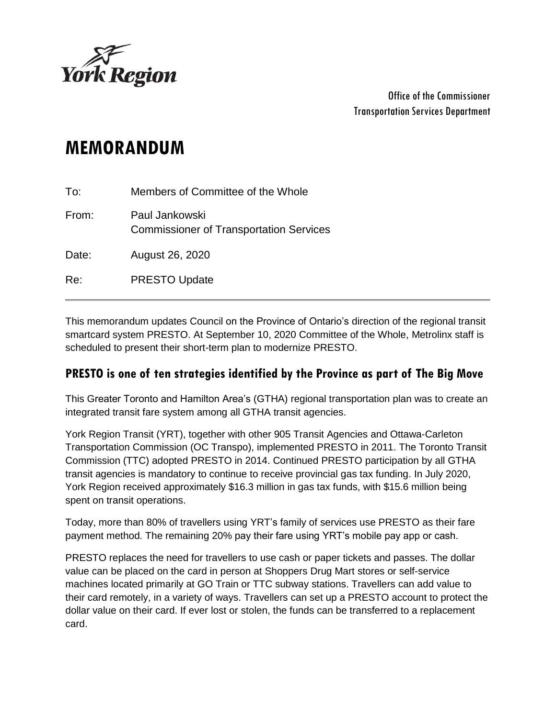

Office of the Commissioner Transportation Services Department

# **MEMORANDUM**

| To:   | Members of Committee of the Whole                                |
|-------|------------------------------------------------------------------|
| From: | Paul Jankowski<br><b>Commissioner of Transportation Services</b> |
| Date: | August 26, 2020                                                  |
| Re:   | <b>PRESTO Update</b>                                             |

This memorandum updates Council on the Province of Ontario's direction of the regional transit smartcard system PRESTO. At September 10, 2020 Committee of the Whole, Metrolinx staff is scheduled to present their short-term plan to modernize PRESTO.

#### **PRESTO is one of ten strategies identified by the Province as part of The Big Move**

This Greater Toronto and Hamilton Area's (GTHA) regional transportation plan was to create an integrated transit fare system among all GTHA transit agencies.

York Region Transit (YRT), together with other 905 Transit Agencies and Ottawa-Carleton Transportation Commission (OC Transpo), implemented PRESTO in 2011. The Toronto Transit Commission (TTC) adopted PRESTO in 2014. Continued PRESTO participation by all GTHA transit agencies is mandatory to continue to receive provincial gas tax funding. In July 2020, York Region received approximately \$16.3 million in gas tax funds, with \$15.6 million being spent on transit operations.

Today, more than 80% of travellers using YRT's family of services use PRESTO as their fare payment method. The remaining 20% pay their fare using YRT's mobile pay app or cash.

PRESTO replaces the need for travellers to use cash or paper tickets and passes. The dollar value can be placed on the card in person at Shoppers Drug Mart stores or self-service machines located primarily at GO Train or TTC subway stations. Travellers can add value to their card remotely, in a variety of ways. Travellers can set up a PRESTO account to protect the dollar value on their card. If ever lost or stolen, the funds can be transferred to a replacement card.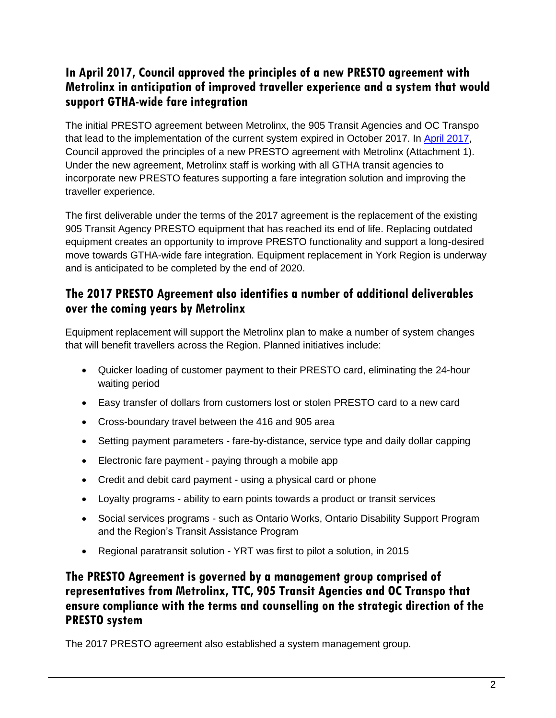# **In April 2017, Council approved the principles of a new PRESTO agreement with Metrolinx in anticipation of improved traveller experience and a system that would support GTHA-wide fare integration**

The initial PRESTO agreement between Metrolinx, the 905 Transit Agencies and OC Transpo that lead to the implementation of the current system expired in October 2017. In [April 2017,](https://www.york.ca/wps/wcm/connect/yorkpublic/0361a21c-7e2b-448a-856e-c656653a405f/apr+13+presto+ex.pdf?MOD=AJPERES&CVID=mu8y9tg) Council approved the principles of a new PRESTO agreement with Metrolinx (Attachment 1). Under the new agreement, Metrolinx staff is working with all GTHA transit agencies to incorporate new PRESTO features supporting a fare integration solution and improving the traveller experience.

The first deliverable under the terms of the 2017 agreement is the replacement of the existing 905 Transit Agency PRESTO equipment that has reached its end of life. Replacing outdated equipment creates an opportunity to improve PRESTO functionality and support a long-desired move towards GTHA-wide fare integration. Equipment replacement in York Region is underway and is anticipated to be completed by the end of 2020.

# **The 2017 PRESTO Agreement also identifies a number of additional deliverables over the coming years by Metrolinx**

Equipment replacement will support the Metrolinx plan to make a number of system changes that will benefit travellers across the Region. Planned initiatives include:

- Quicker loading of customer payment to their PRESTO card, eliminating the 24-hour waiting period
- Easy transfer of dollars from customers lost or stolen PRESTO card to a new card
- Cross-boundary travel between the 416 and 905 area
- Setting payment parameters fare-by-distance, service type and daily dollar capping
- Electronic fare payment paying through a mobile app
- Credit and debit card payment using a physical card or phone
- Loyalty programs ability to earn points towards a product or transit services
- Social services programs such as Ontario Works, Ontario Disability Support Program and the Region's Transit Assistance Program
- Regional paratransit solution YRT was first to pilot a solution, in 2015

# **The PRESTO Agreement is governed by a management group comprised of representatives from Metrolinx, TTC, 905 Transit Agencies and OC Transpo that ensure compliance with the terms and counselling on the strategic direction of the PRESTO system**

The 2017 PRESTO agreement also established a system management group.